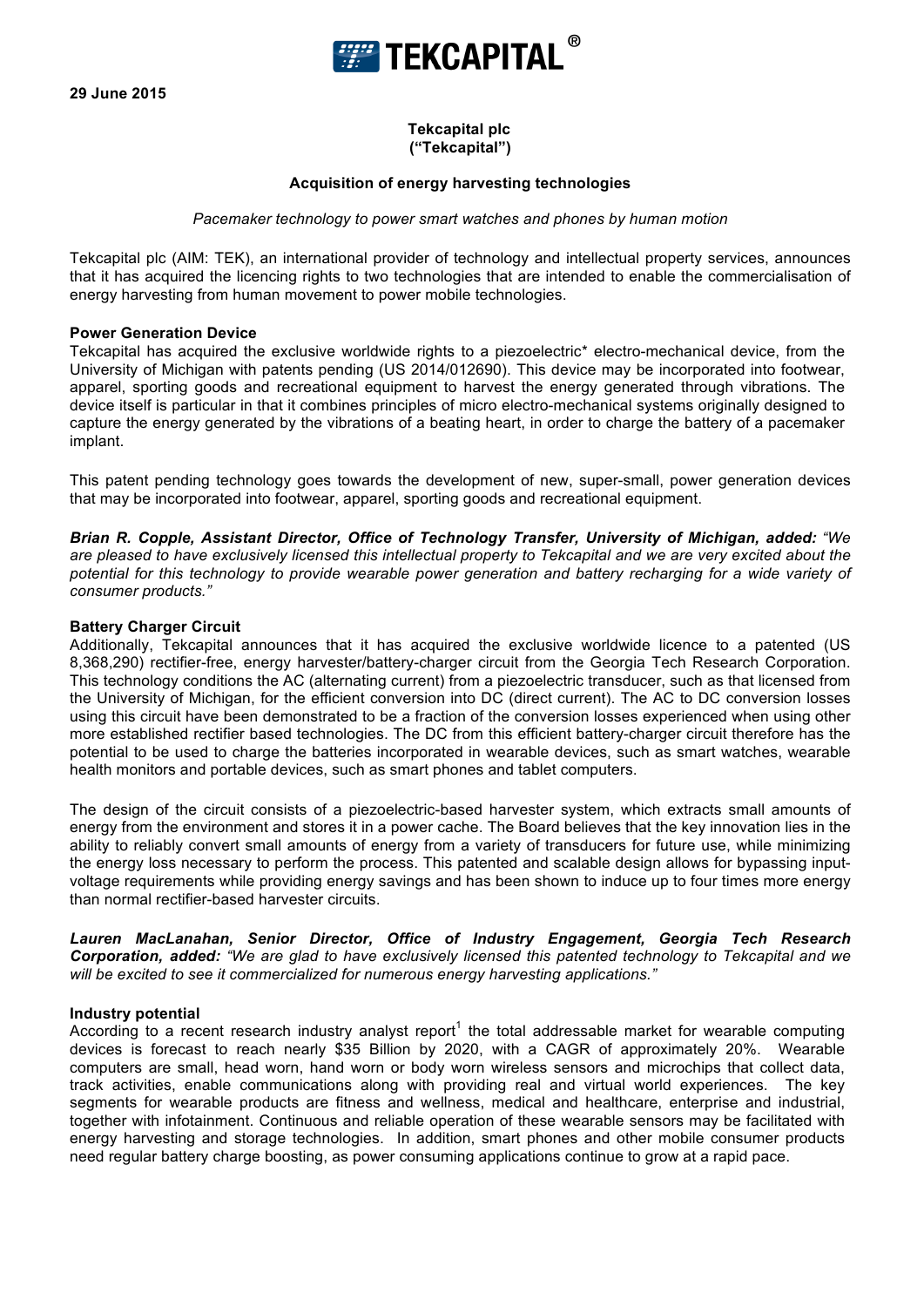

# **Tekcapital plc ("Tekcapital")**

# **Acquisition of energy harvesting technologies**

## *Pacemaker technology to power smart watches and phones by human motion*

Tekcapital plc (AIM: TEK), an international provider of technology and intellectual property services, announces that it has acquired the licencing rights to two technologies that are intended to enable the commercialisation of energy harvesting from human movement to power mobile technologies.

## **Power Generation Device**

Tekcapital has acquired the exclusive worldwide rights to a piezoelectric\* electro-mechanical device, from the University of Michigan with patents pending (US 2014/012690). This device may be incorporated into footwear, apparel, sporting goods and recreational equipment to harvest the energy generated through vibrations. The device itself is particular in that it combines principles of micro electro-mechanical systems originally designed to capture the energy generated by the vibrations of a beating heart, in order to charge the battery of a pacemaker implant.

This patent pending technology goes towards the development of new, super-small, power generation devices that may be incorporated into footwear, apparel, sporting goods and recreational equipment.

*Brian R. Copple, Assistant Director, Office of Technology Transfer, University of Michigan, added: "We are pleased to have exclusively licensed this intellectual property to Tekcapital and we are very excited about the potential for this technology to provide wearable power generation and battery recharging for a wide variety of consumer products."*

## **Battery Charger Circuit**

Additionally, Tekcapital announces that it has acquired the exclusive worldwide licence to a patented (US 8,368,290) rectifier-free, energy harvester/battery-charger circuit from the Georgia Tech Research Corporation. This technology conditions the AC (alternating current) from a piezoelectric transducer, such as that licensed from the University of Michigan, for the efficient conversion into DC (direct current). The AC to DC conversion losses using this circuit have been demonstrated to be a fraction of the conversion losses experienced when using other more established rectifier based technologies. The DC from this efficient battery-charger circuit therefore has the potential to be used to charge the batteries incorporated in wearable devices, such as smart watches, wearable health monitors and portable devices, such as smart phones and tablet computers.

The design of the circuit consists of a piezoelectric-based harvester system, which extracts small amounts of energy from the environment and stores it in a power cache. The Board believes that the key innovation lies in the ability to reliably convert small amounts of energy from a variety of transducers for future use, while minimizing the energy loss necessary to perform the process. This patented and scalable design allows for bypassing inputvoltage requirements while providing energy savings and has been shown to induce up to four times more energy than normal rectifier-based harvester circuits.

*Lauren MacLanahan, Senior Director, Office of Industry Engagement, Georgia Tech Research Corporation, added: "We are glad to have exclusively licensed this patented technology to Tekcapital and we will be excited to see it commercialized for numerous energy harvesting applications."*

#### **Industry potential**

According to a recent research industry analyst report<sup>1</sup> the total addressable market for wearable computing devices is forecast to reach nearly \$35 Billion by 2020, with a CAGR of approximately 20%. Wearable computers are small, head worn, hand worn or body worn wireless sensors and microchips that collect data, track activities, enable communications along with providing real and virtual world experiences. The key segments for wearable products are fitness and wellness, medical and healthcare, enterprise and industrial, together with infotainment. Continuous and reliable operation of these wearable sensors may be facilitated with energy harvesting and storage technologies. In addition, smart phones and other mobile consumer products need regular battery charge boosting, as power consuming applications continue to grow at a rapid pace.